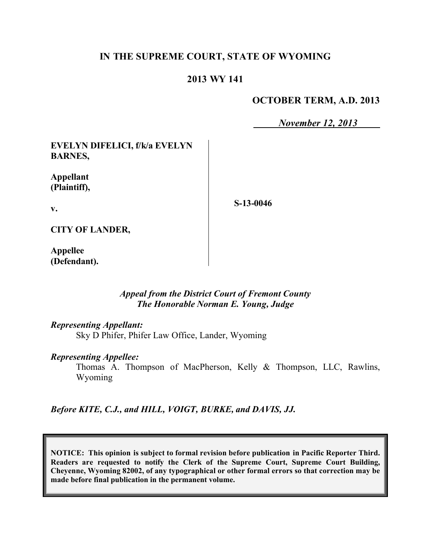# **IN THE SUPREME COURT, STATE OF WYOMING**

## **2013 WY 141**

# **OCTOBER TERM, A.D. 2013**

*November 12, 2013*

**EVELYN DIFELICI, f/k/a EVELYN BARNES,**

**Appellant (Plaintiff),**

**S-13-0046**

**v.**

**CITY OF LANDER,**

**Appellee (Defendant).**

## *Appeal from the District Court of Fremont County The Honorable Norman E. Young, Judge*

#### *Representing Appellant:*

Sky D Phifer, Phifer Law Office, Lander, Wyoming

#### *Representing Appellee:*

Thomas A. Thompson of MacPherson, Kelly & Thompson, LLC, Rawlins, Wyoming

*Before KITE, C.J., and HILL, VOIGT, BURKE, and DAVIS, JJ.*

**NOTICE: This opinion is subject to formal revision before publication in Pacific Reporter Third. Readers are requested to notify the Clerk of the Supreme Court, Supreme Court Building, Cheyenne, Wyoming 82002, of any typographical or other formal errors so that correction may be made before final publication in the permanent volume.**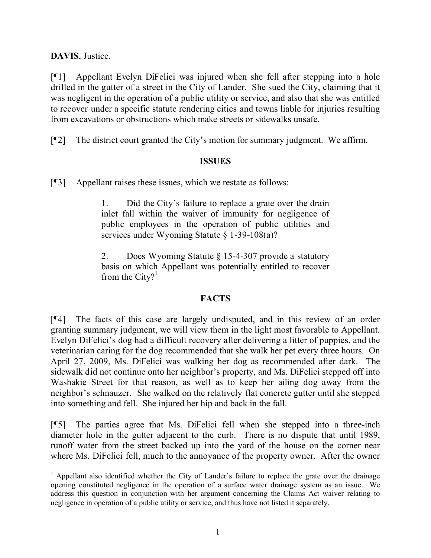**DAVIS**, Justice.

 $\overline{a}$ 

[¶1] Appellant Evelyn DiFelici was injured when she fell after stepping into a hole drilled in the gutter of a street in the City of Lander. She sued the City, claiming that it was negligent in the operation of a public utility or service, and also that she was entitled to recover under a specific statute rendering cities and towns liable for injuries resulting from excavations or obstructions which make streets or sidewalks unsafe.

[¶2] The district court granted the City's motion for summary judgment. We affirm.

# **ISSUES**

[¶3] Appellant raises these issues, which we restate as follows:

1. Did the City's failure to replace a grate over the drain inlet fall within the waiver of immunity for negligence of public employees in the operation of public utilities and services under Wyoming Statute § 1-39-108(a)?

2. Does Wyoming Statute § 15-4-307 provide a statutory basis on which Appellant was potentially entitled to recover from the City?<sup>1</sup>

# **FACTS**

[¶4] The facts of this case are largely undisputed, and in this review of an order granting summary judgment, we will view them in the light most favorable to Appellant. Evelyn DiFelici's dog had a difficult recovery after delivering a litter of puppies, and the veterinarian caring for the dog recommended that she walk her pet every three hours. On April 27, 2009, Ms. DiFelici was walking her dog as recommended after dark. The sidewalk did not continue onto her neighbor's property, and Ms. DiFelici stepped off into Washakie Street for that reason, as well as to keep her ailing dog away from the neighbor's schnauzer. She walked on the relatively flat concrete gutter until she stepped into something and fell. She injured her hip and back in the fall.

[¶5] The parties agree that Ms. DiFelici fell when she stepped into a three-inch diameter hole in the gutter adjacent to the curb. There is no dispute that until 1989, runoff water from the street backed up into the yard of the house on the corner near where Ms. DiFelici fell, much to the annoyance of the property owner. After the owner

<sup>&</sup>lt;sup>1</sup> Appellant also identified whether the City of Lander's failure to replace the grate over the drainage opening constituted negligence in the operation of a surface water drainage system as an issue. We address this question in conjunction with her argument concerning the Claims Act waiver relating to negligence in operation of a public utility or service, and thus have not listed it separately.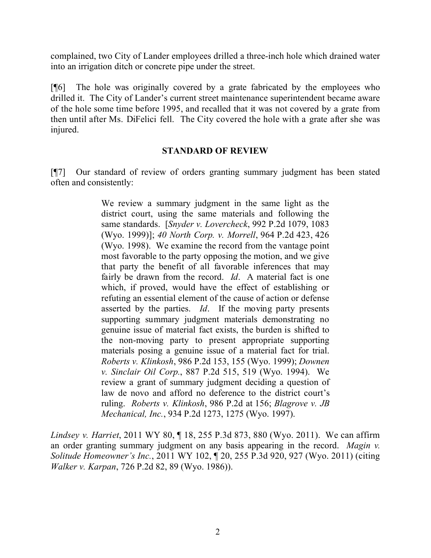complained, two City of Lander employees drilled a three-inch hole which drained water into an irrigation ditch or concrete pipe under the street.

[¶6] The hole was originally covered by a grate fabricated by the employees who drilled it. The City of Lander's current street maintenance superintendent became aware of the hole some time before 1995, and recalled that it was not covered by a grate from then until after Ms. DiFelici fell. The City covered the hole with a grate after she was injured.

#### **STANDARD OF REVIEW**

[¶7] Our standard of review of orders granting summary judgment has been stated often and consistently:

> We review a summary judgment in the same light as the district court, using the same materials and following the same standards. [*Snyder v. Lovercheck*, 992 P.2d 1079, 1083 (Wyo. 1999)]; *40 North Corp. v. Morrell*, 964 P.2d 423, 426 (Wyo. 1998). We examine the record from the vantage point most favorable to the party opposing the motion, and we give that party the benefit of all favorable inferences that may fairly be drawn from the record. *Id*. A material fact is one which, if proved, would have the effect of establishing or refuting an essential element of the cause of action or defense asserted by the parties. *Id*. If the moving party presents supporting summary judgment materials demonstrating no genuine issue of material fact exists, the burden is shifted to the non-moving party to present appropriate supporting materials posing a genuine issue of a material fact for trial. *Roberts v. Klinkosh*, 986 P.2d 153, 155 (Wyo. 1999); *Downen v. Sinclair Oil Corp.*, 887 P.2d 515, 519 (Wyo. 1994). We review a grant of summary judgment deciding a question of law de novo and afford no deference to the district court's ruling. *Roberts v. Klinkosh*, 986 P.2d at 156; *Blagrove v. JB Mechanical, Inc.*, 934 P.2d 1273, 1275 (Wyo. 1997).

*Lindsey v. Harriet*, 2011 WY 80, ¶ 18, 255 P.3d 873, 880 (Wyo. 2011). We can affirm an order granting summary judgment on any basis appearing in the record. *Magin v. Solitude Homeowner's Inc.*, 2011 WY 102, ¶ 20, 255 P.3d 920, 927 (Wyo. 2011) (citing *Walker v. Karpan*, 726 P.2d 82, 89 (Wyo. 1986)).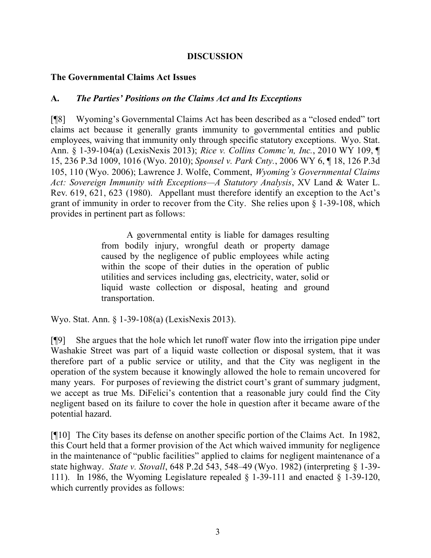## **DISCUSSION**

## **The Governmental Claims Act Issues**

## **A.** *The Parties' Positions on the Claims Act and Its Exceptions*

[¶8] Wyoming's Governmental Claims Act has been described as a "closed ended" tort claims act because it generally grants immunity to governmental entities and public employees, waiving that immunity only through specific statutory exceptions. Wyo. Stat. Ann. § 1-39-104(a) (LexisNexis 2013); *Rice v. Collins Commc'n, Inc.*, 2010 WY 109, ¶ 15, 236 P.3d 1009, 1016 (Wyo. 2010); *Sponsel v. Park Cnty.*, 2006 WY 6, ¶ 18, 126 P.3d 105, 110 (Wyo. 2006); Lawrence J. Wolfe, Comment, *Wyoming's Governmental Claims Act: Sovereign Immunity with Exceptions—A Statutory Analysis*, XV Land & Water L. Rev. 619, 621, 623 (1980). Appellant must therefore identify an exception to the Act's grant of immunity in order to recover from the City. She relies upon § 1-39-108, which provides in pertinent part as follows:

> A governmental entity is liable for damages resulting from bodily injury, wrongful death or property damage caused by the negligence of public employees while acting within the scope of their duties in the operation of public utilities and services including gas, electricity, water, solid or liquid waste collection or disposal, heating and ground transportation.

Wyo. Stat. Ann. § 1-39-108(a) (LexisNexis 2013).

[¶9] She argues that the hole which let runoff water flow into the irrigation pipe under Washakie Street was part of a liquid waste collection or disposal system, that it was therefore part of a public service or utility, and that the City was negligent in the operation of the system because it knowingly allowed the hole to remain uncovered for many years. For purposes of reviewing the district court's grant of summary judgment, we accept as true Ms. DiFelici's contention that a reasonable jury could find the City negligent based on its failure to cover the hole in question after it became aware of the potential hazard.

[¶10] The City bases its defense on another specific portion of the Claims Act. In 1982, this Court held that a former provision of the Act which waived immunity for negligence in the maintenance of "public facilities" applied to claims for negligent maintenance of a state highway. *State v. Stovall*, 648 P.2d 543, 548–49 (Wyo. 1982) (interpreting § 1-39- 111). In 1986, the Wyoming Legislature repealed  $\S$  1-39-111 and enacted  $\S$  1-39-120, which currently provides as follows: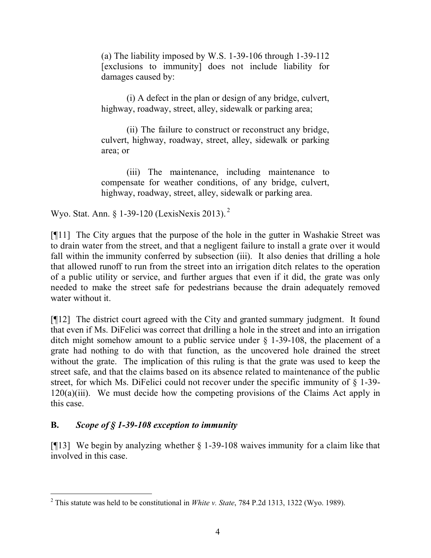(a) The liability imposed by W.S. 1-39-106 through 1-39-112 [exclusions to immunity] does not include liability for damages caused by:

(i) A defect in the plan or design of any bridge, culvert, highway, roadway, street, alley, sidewalk or parking area;

(ii) The failure to construct or reconstruct any bridge, culvert, highway, roadway, street, alley, sidewalk or parking area; or

(iii) The maintenance, including maintenance to compensate for weather conditions, of any bridge, culvert, highway, roadway, street, alley, sidewalk or parking area.

Wyo. Stat. Ann. § 1-39-120 (LexisNexis 2013). <sup>2</sup>

[¶11] The City argues that the purpose of the hole in the gutter in Washakie Street was to drain water from the street, and that a negligent failure to install a grate over it would fall within the immunity conferred by subsection (iii). It also denies that drilling a hole that allowed runoff to run from the street into an irrigation ditch relates to the operation of a public utility or service, and further argues that even if it did, the grate was only needed to make the street safe for pedestrians because the drain adequately removed water without it.

[¶12] The district court agreed with the City and granted summary judgment. It found that even if Ms. DiFelici was correct that drilling a hole in the street and into an irrigation ditch might somehow amount to a public service under § 1-39-108, the placement of a grate had nothing to do with that function, as the uncovered hole drained the street without the grate. The implication of this ruling is that the grate was used to keep the street safe, and that the claims based on its absence related to maintenance of the public street, for which Ms. DiFelici could not recover under the specific immunity of § 1-39- 120(a)(iii). We must decide how the competing provisions of the Claims Act apply in this case.

# **B.** *Scope of § 1-39-108 exception to immunity*

[¶13] We begin by analyzing whether § 1-39-108 waives immunity for a claim like that involved in this case.

 $\overline{a}$ <sup>2</sup> This statute was held to be constitutional in *White v. State*, 784 P.2d 1313, 1322 (Wyo. 1989).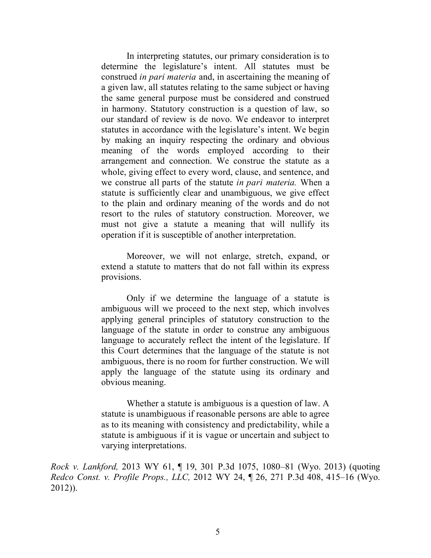In interpreting statutes, our primary consideration is to determine the legislature's intent. All statutes must be construed *in pari materia* and, in ascertaining the meaning of a given law, all statutes relating to the same subject or having the same general purpose must be considered and construed in harmony. Statutory construction is a question of law, so our standard of review is de novo. We endeavor to interpret statutes in accordance with the legislature's intent. We begin by making an inquiry respecting the ordinary and obvious meaning of the words employed according to their arrangement and connection. We construe the statute as a whole, giving effect to every word, clause, and sentence, and we construe all parts of the statute *in pari materia.* When a statute is sufficiently clear and unambiguous, we give effect to the plain and ordinary meaning of the words and do not resort to the rules of statutory construction. Moreover, we must not give a statute a meaning that will nullify its operation if it is susceptible of another interpretation.

Moreover, we will not enlarge, stretch, expand, or extend a statute to matters that do not fall within its express provisions.

Only if we determine the language of a statute is ambiguous will we proceed to the next step, which involves applying general principles of statutory construction to the language of the statute in order to construe any ambiguous language to accurately reflect the intent of the legislature. If this Court determines that the language of the statute is not ambiguous, there is no room for further construction. We will apply the language of the statute using its ordinary and obvious meaning.

Whether a statute is ambiguous is a question of law. A statute is unambiguous if reasonable persons are able to agree as to its meaning with consistency and predictability, while a statute is ambiguous if it is vague or uncertain and subject to varying interpretations.

*Rock v. Lankford,* 2013 WY 61, ¶ 19, 301 P.3d 1075, 1080–81 (Wyo. 2013) (quoting *Redco Const. v. Profile Props., LLC,* 2012 WY 24, ¶ 26, 271 P.3d 408, 415–16 (Wyo. 2012)).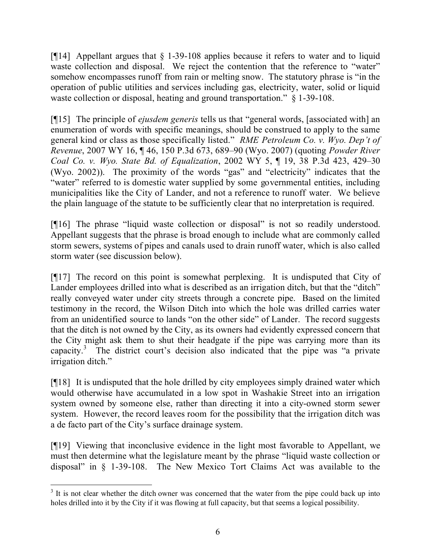[ $[14]$  Appellant argues that  $\S$  1-39-108 applies because it refers to water and to liquid waste collection and disposal. We reject the contention that the reference to "water" somehow encompasses runoff from rain or melting snow. The statutory phrase is "in the operation of public utilities and services including gas, electricity, water, solid or liquid waste collection or disposal, heating and ground transportation."  $\&$  1-39-108.

[¶15] The principle of *ejusdem generis* tells us that "general words, [associated with] an enumeration of words with specific meanings, should be construed to apply to the same general kind or class as those specifically listed." *RME Petroleum Co. v. Wyo. Dep't of Revenue*, 2007 WY 16, ¶ 46, 150 P.3d 673, 689–90 (Wyo. 2007) (quoting *Powder River Coal Co. v. Wyo. State Bd. of Equalization*, 2002 WY 5, ¶ 19, 38 P.3d 423, 429–30 (Wyo. 2002)). The proximity of the words "gas" and "electricity" indicates that the "water" referred to is domestic water supplied by some governmental entities, including municipalities like the City of Lander, and not a reference to runoff water. We believe the plain language of the statute to be sufficiently clear that no interpretation is required.

[¶16] The phrase "liquid waste collection or disposal" is not so readily understood. Appellant suggests that the phrase is broad enough to include what are commonly called storm sewers, systems of pipes and canals used to drain runoff water, which is also called storm water (see discussion below).

[¶17] The record on this point is somewhat perplexing. It is undisputed that City of Lander employees drilled into what is described as an irrigation ditch, but that the "ditch" really conveyed water under city streets through a concrete pipe. Based on the limited testimony in the record, the Wilson Ditch into which the hole was drilled carries water from an unidentified source to lands "on the other side" of Lander. The record suggests that the ditch is not owned by the City, as its owners had evidently expressed concern that the City might ask them to shut their headgate if the pipe was carrying more than its capacity.<sup>3</sup> The district court's decision also indicated that the pipe was "a private irrigation ditch."

[¶18] It is undisputed that the hole drilled by city employees simply drained water which would otherwise have accumulated in a low spot in Washakie Street into an irrigation system owned by someone else, rather than directing it into a city-owned storm sewer system. However, the record leaves room for the possibility that the irrigation ditch was a de facto part of the City's surface drainage system.

[¶19] Viewing that inconclusive evidence in the light most favorable to Appellant, we must then determine what the legislature meant by the phrase "liquid waste collection or disposal" in § 1-39-108. The New Mexico Tort Claims Act was available to the

 $3$  It is not clear whether the ditch owner was concerned that the water from the pipe could back up into holes drilled into it by the City if it was flowing at full capacity, but that seems a logical possibility.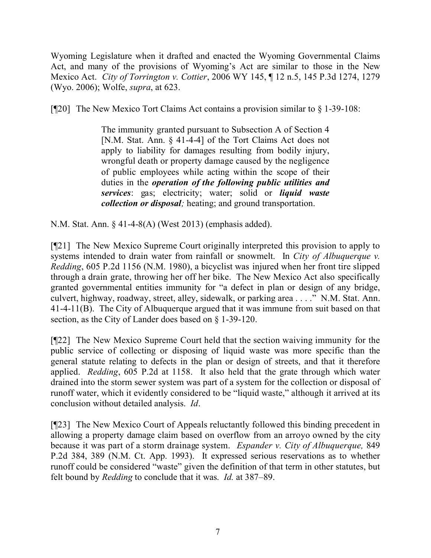Wyoming Legislature when it drafted and enacted the Wyoming Governmental Claims Act, and many of the provisions of Wyoming's Act are similar to those in the New Mexico Act. *City of Torrington v. Cottier*, 2006 WY 145, ¶ 12 n.5, 145 P.3d 1274, 1279 (Wyo. 2006); Wolfe, *supra*, at 623.

[ $[$ 20] The New Mexico Tort Claims Act contains a provision similar to  $\S$  1-39-108:

The immunity granted pursuant to Subsection A of Section 4 [N.M. Stat. Ann. § 41-4-4] of the Tort Claims Act does not apply to liability for damages resulting from bodily injury, wrongful death or property damage caused by the negligence of public employees while acting within the scope of their duties in the *operation of the following public utilities and services*: gas; electricity; water; solid or *liquid waste collection or disposal;* heating; and ground transportation.

N.M. Stat. Ann. § 41-4-8(A) (West 2013) (emphasis added).

[¶21] The New Mexico Supreme Court originally interpreted this provision to apply to systems intended to drain water from rainfall or snowmelt. In *City of Albuquerque v. Redding*, 605 P.2d 1156 (N.M. 1980), a bicyclist was injured when her front tire slipped through a drain grate, throwing her off her bike. The New Mexico Act also specifically granted governmental entities immunity for "a defect in plan or design of any bridge, culvert, highway, roadway, street, alley, sidewalk, or parking area . . . ." N.M. Stat. Ann. 41-4-11(B). The City of Albuquerque argued that it was immune from suit based on that section, as the City of Lander does based on § 1-39-120.

[¶22] The New Mexico Supreme Court held that the section waiving immunity for the public service of collecting or disposing of liquid waste was more specific than the general statute relating to defects in the plan or design of streets, and that it therefore applied. *Redding*, 605 P.2d at 1158. It also held that the grate through which water drained into the storm sewer system was part of a system for the collection or disposal of runoff water, which it evidently considered to be "liquid waste," although it arrived at its conclusion without detailed analysis. *Id*.

[¶23] The New Mexico Court of Appeals reluctantly followed this binding precedent in allowing a property damage claim based on overflow from an arroyo owned by the city because it was part of a storm drainage system. *Espander v. City of Albuquerque,* 849 P.2d 384, 389 (N.M. Ct. App. 1993). It expressed serious reservations as to whether runoff could be considered "waste" given the definition of that term in other statutes, but felt bound by *Redding* to conclude that it was. *Id.* at 387–89.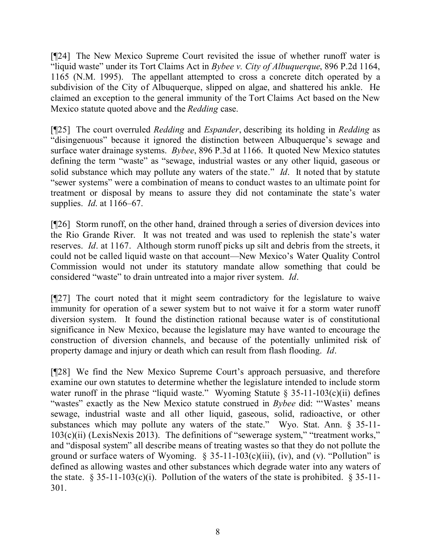[¶24] The New Mexico Supreme Court revisited the issue of whether runoff water is "liquid waste" under its Tort Claims Act in *Bybee v. City of Albuquerque*, 896 P.2d 1164, 1165 (N.M. 1995). The appellant attempted to cross a concrete ditch operated by a subdivision of the City of Albuquerque, slipped on algae, and shattered his ankle. He claimed an exception to the general immunity of the Tort Claims Act based on the New Mexico statute quoted above and the *Redding* case.

[¶25] The court overruled *Redding* and *Espander*, describing its holding in *Redding* as "disingenuous" because it ignored the distinction between Albuquerque's sewage and surface water drainage systems. *Bybee*, 896 P.3d at 1166. It quoted New Mexico statutes defining the term "waste" as "sewage, industrial wastes or any other liquid, gaseous or solid substance which may pollute any waters of the state." *Id*. It noted that by statute "sewer systems" were a combination of means to conduct wastes to an ultimate point for treatment or disposal by means to assure they did not contaminate the state's water supplies. *Id*. at 1166–67.

[¶26] Storm runoff, on the other hand, drained through a series of diversion devices into the Rio Grande River. It was not treated and was used to replenish the state's water reserves. *Id*. at 1167. Although storm runoff picks up silt and debris from the streets, it could not be called liquid waste on that account—New Mexico's Water Quality Control Commission would not under its statutory mandate allow something that could be considered "waste" to drain untreated into a major river system. *Id*.

[¶27] The court noted that it might seem contradictory for the legislature to waive immunity for operation of a sewer system but to not waive it for a storm water runoff diversion system. It found the distinction rational because water is of constitutional significance in New Mexico, because the legislature may have wanted to encourage the construction of diversion channels, and because of the potentially unlimited risk of property damage and injury or death which can result from flash flooding. *Id*.

[¶28] We find the New Mexico Supreme Court's approach persuasive, and therefore examine our own statutes to determine whether the legislature intended to include storm water runoff in the phrase "liquid waste." Wyoming Statute  $\S$  35-11-103(c)(ii) defines "wastes" exactly as the New Mexico statute construed in *Bybee* did: "'Wastes' means sewage, industrial waste and all other liquid, gaseous, solid, radioactive, or other substances which may pollute any waters of the state." Wyo. Stat. Ann. § 35-11-  $103(c)(ii)$  (LexisNexis 2013). The definitions of "sewerage system," "treatment works," and "disposal system" all describe means of treating wastes so that they do not pollute the ground or surface waters of Wyoming.  $\S$  35-11-103(c)(iii), (iv), and (v). "Pollution" is defined as allowing wastes and other substances which degrade water into any waters of the state.  $\S 35-11-103(c)(i)$ . Pollution of the waters of the state is prohibited.  $\S 35-11-$ 301.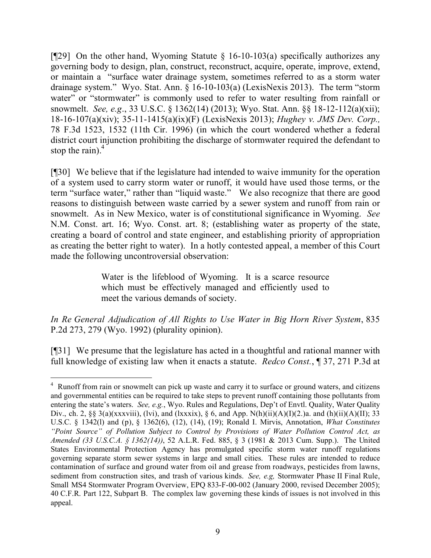[ $[$ 29] On the other hand, Wyoming Statute § 16-10-103(a) specifically authorizes any governing body to design, plan, construct, reconstruct, acquire, operate, improve, extend, or maintain a "surface water drainage system, sometimes referred to as a storm water drainage system." Wyo. Stat. Ann. § 16-10-103(a) (LexisNexis 2013). The term "storm water" or "stormwater" is commonly used to refer to water resulting from rainfall or snowmelt. *See, e.g*., 33 U.S.C. § 1362(14) (2013); Wyo. Stat. Ann. §§ 18-12-112(a)(xii); 18-16-107(a)(xiv); 35-11-1415(a)(ix)(F) (LexisNexis 2013); *Hughey v. JMS Dev. Corp.,* 78 F.3d 1523, 1532 (11th Cir. 1996) (in which the court wondered whether a federal district court injunction prohibiting the discharge of stormwater required the defendant to stop the rain). $4$ 

[¶30] We believe that if the legislature had intended to waive immunity for the operation of a system used to carry storm water or runoff, it would have used those terms, or the term "surface water," rather than "liquid waste." We also recognize that there are good reasons to distinguish between waste carried by a sewer system and runoff from rain or snowmelt. As in New Mexico, water is of constitutional significance in Wyoming. *See* N.M. Const. art. 16; Wyo. Const. art. 8; (establishing water as property of the state, creating a board of control and state engineer, and establishing priority of appropriation as creating the better right to water). In a hotly contested appeal, a member of this Court made the following uncontroversial observation:

> Water is the lifeblood of Wyoming. It is a scarce resource which must be effectively managed and efficiently used to meet the various demands of society.

*In Re General Adjudication of All Rights to Use Water in Big Horn River System*, 835 P.2d 273, 279 (Wyo. 1992) (plurality opinion).

[¶31] We presume that the legislature has acted in a thoughtful and rational manner with full knowledge of existing law when it enacts a statute. *Redco Const.*, ¶ 37, 271 P.3d at

 $\overline{a}$ <sup>4</sup> Runoff from rain or snowmelt can pick up waste and carry it to surface or ground waters, and citizens and governmental entities can be required to take steps to prevent runoff containing those pollutants from entering the state's waters. *See, e.g.*, Wyo. Rules and Regulations, Dep't of Envtl. Quality, Water Quality Div., ch. 2, §§ 3(a)(xxxviii), (lvi), and (lxxxix), § 6, and App. N(h)(ii)(A)(I)(2.)a. and (h)(ii)(A)(II); 33 U.S.C. § 1342(l) and (p), § 1362(6), (12), (14), (19); Ronald I. Mirvis, Annotation, *What Constitutes "Point Source" of Pollution Subject to Control by Provisions of Water Pollution Control Act, as Amended (33 U.S.C.A. § 1362(14))*, 52 A.L.R. Fed. 885, § 3 (1981 & 2013 Cum. Supp.). The United States Environmental Protection Agency has promulgated specific storm water runoff regulations governing separate storm sewer systems in large and small cities. These rules are intended to reduce contamination of surface and ground water from oil and grease from roadways, pesticides from lawns, sediment from construction sites, and trash of various kinds. *See, e.g,* Stormwater Phase II Final Rule, Small MS4 Stormwater Program Overview, EPQ 833-F-00-002 (January 2000, revised December 2005); 40 C.F.R. Part 122, Subpart B. The complex law governing these kinds of issues is not involved in this appeal.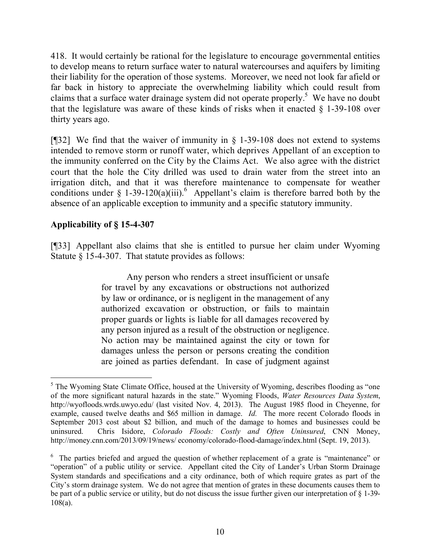418. It would certainly be rational for the legislature to encourage governmental entities to develop means to return surface water to natural watercourses and aquifers by limiting their liability for the operation of those systems. Moreover, we need not look far afield or far back in history to appreciate the overwhelming liability which could result from claims that a surface water drainage system did not operate properly.<sup>5</sup> We have no doubt that the legislature was aware of these kinds of risks when it enacted § 1-39-108 over thirty years ago.

[ $[$ ]32] We find that the waiver of immunity in § 1-39-108 does not extend to systems intended to remove storm or runoff water, which deprives Appellant of an exception to the immunity conferred on the City by the Claims Act. We also agree with the district court that the hole the City drilled was used to drain water from the street into an irrigation ditch, and that it was therefore maintenance to compensate for weather conditions under § 1-39-120(a)(iii).<sup>6</sup> Appellant's claim is therefore barred both by the absence of an applicable exception to immunity and a specific statutory immunity.

# **Applicability of § 15-4-307**

 $\overline{a}$ 

[¶33] Appellant also claims that she is entitled to pursue her claim under Wyoming Statute § 15-4-307. That statute provides as follows:

> Any person who renders a street insufficient or unsafe for travel by any excavations or obstructions not authorized by law or ordinance, or is negligent in the management of any authorized excavation or obstruction, or fails to maintain proper guards or lights is liable for all damages recovered by any person injured as a result of the obstruction or negligence. No action may be maintained against the city or town for damages unless the person or persons creating the condition are joined as parties defendant. In case of judgment against

<sup>&</sup>lt;sup>5</sup> The Wyoming State Climate Office, housed at the University of Wyoming, describes flooding as "one" of the more significant natural hazards in the state." Wyoming Floods, *Water Resources Data System*, http://wyofloods.wrds.uwyo.edu/ (last visited Nov. 4, 2013). The August 1985 flood in Cheyenne, for example, caused twelve deaths and \$65 million in damage. *Id.* The more recent Colorado floods in September 2013 cost about \$2 billion, and much of the damage to homes and businesses could be uninsured. Chris Isidore, *Colorado Floods: Costly and Often Uninsured*, CNN Money, http://money.cnn.com/2013/09/19/news/ economy/colorado-flood-damage/index.html (Sept. 19, 2013).

<sup>&</sup>lt;sup>6</sup> The parties briefed and argued the question of whether replacement of a grate is "maintenance" or "operation" of a public utility or service. Appellant cited the City of Lander's Urban Storm Drainage System standards and specifications and a city ordinance, both of which require grates as part of the City's storm drainage system. We do not agree that mention of grates in these documents causes them to be part of a public service or utility, but do not discuss the issue further given our interpretation of § 1-39- 108(a).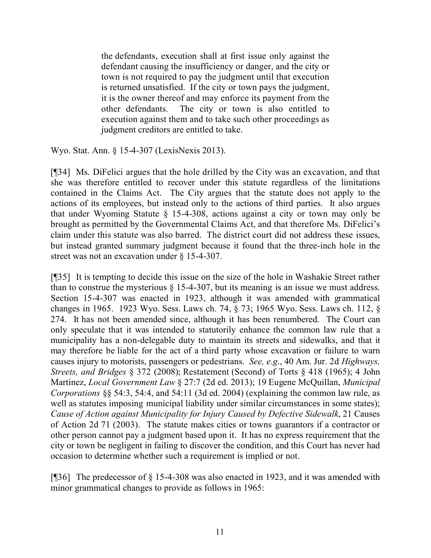the defendants, execution shall at first issue only against the defendant causing the insufficiency or danger, and the city or town is not required to pay the judgment until that execution is returned unsatisfied. If the city or town pays the judgment, it is the owner thereof and may enforce its payment from the other defendants. The city or town is also entitled to execution against them and to take such other proceedings as judgment creditors are entitled to take.

Wyo. Stat. Ann. § 15-4-307 (LexisNexis 2013).

[¶34] Ms. DiFelici argues that the hole drilled by the City was an excavation, and that she was therefore entitled to recover under this statute regardless of the limitations contained in the Claims Act. The City argues that the statute does not apply to the actions of its employees, but instead only to the actions of third parties. It also argues that under Wyoming Statute § 15-4-308, actions against a city or town may only be brought as permitted by the Governmental Claims Act, and that therefore Ms. DiFelici's claim under this statute was also barred. The district court did not address these issues, but instead granted summary judgment because it found that the three-inch hole in the street was not an excavation under § 15-4-307.

[¶35] It is tempting to decide this issue on the size of the hole in Washakie Street rather than to construe the mysterious  $\S$  15-4-307, but its meaning is an issue we must address. Section 15-4-307 was enacted in 1923, although it was amended with grammatical changes in 1965. 1923 Wyo. Sess. Laws ch. 74, § 73; 1965 Wyo. Sess. Laws ch. 112, § 274. It has not been amended since, although it has been renumbered. The Court can only speculate that it was intended to statutorily enhance the common law rule that a municipality has a non-delegable duty to maintain its streets and sidewalks, and that it may therefore be liable for the act of a third party whose excavation or failure to warn causes injury to motorists, passengers or pedestrians. *See, e.g*., 40 Am. Jur. 2d *Highways, Streets, and Bridges* § 372 (2008); Restatement (Second) of Torts § 418 (1965); 4 John Martinez, *Local Government Law* § 27:7 (2d ed. 2013); 19 Eugene McQuillan, *Municipal Corporations* §§ 54:3, 54:4, and 54:11 (3d ed. 2004) (explaining the common law rule, as well as statutes imposing municipal liability under similar circumstances in some states); *Cause of Action against Municipality for Injury Caused by Defective Sidewalk*, 21 Causes of Action 2d 71 (2003). The statute makes cities or towns guarantors if a contractor or other person cannot pay a judgment based upon it. It has no express requirement that the city or town be negligent in failing to discover the condition, and this Court has never had occasion to determine whether such a requirement is implied or not.

[¶36] The predecessor of § 15-4-308 was also enacted in 1923, and it was amended with minor grammatical changes to provide as follows in 1965: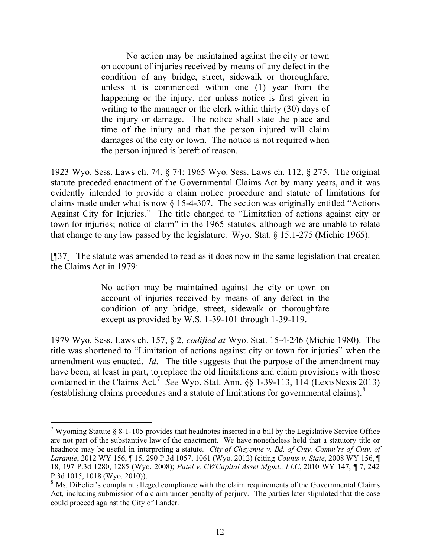No action may be maintained against the city or town on account of injuries received by means of any defect in the condition of any bridge, street, sidewalk or thoroughfare, unless it is commenced within one (1) year from the happening or the injury, nor unless notice is first given in writing to the manager or the clerk within thirty (30) days of the injury or damage. The notice shall state the place and time of the injury and that the person injured will claim damages of the city or town. The notice is not required when the person injured is bereft of reason.

1923 Wyo. Sess. Laws ch. 74, § 74; 1965 Wyo. Sess. Laws ch. 112, § 275. The original statute preceded enactment of the Governmental Claims Act by many years, and it was evidently intended to provide a claim notice procedure and statute of limitations for claims made under what is now § 15-4-307. The section was originally entitled "Actions Against City for Injuries." The title changed to "Limitation of actions against city or town for injuries; notice of claim" in the 1965 statutes, although we are unable to relate that change to any law passed by the legislature. Wyo. Stat. § 15.1-275 (Michie 1965).

[¶37] The statute was amended to read as it does now in the same legislation that created the Claims Act in 1979:

> No action may be maintained against the city or town on account of injuries received by means of any defect in the condition of any bridge, street, sidewalk or thoroughfare except as provided by W.S. 1-39-101 through 1-39-119.

1979 Wyo. Sess. Laws ch. 157, § 2, *codified at* Wyo. Stat. 15-4-246 (Michie 1980). The title was shortened to "Limitation of actions against city or town for injuries" when the amendment was enacted. *Id*. The title suggests that the purpose of the amendment may have been, at least in part, to replace the old limitations and claim provisions with those contained in the Claims Act.<sup>7</sup> See Wyo. Stat. Ann.  $\S$ § 1-39-113, 114 (LexisNexis 2013) (establishing claims procedures and a statute of limitations for governmental claims).<sup>8</sup>

 $\overline{a}$ 

<sup>&</sup>lt;sup>7</sup> Wyoming Statute  $\S 8$ -1-105 provides that headnotes inserted in a bill by the Legislative Service Office are not part of the substantive law of the enactment. We have nonetheless held that a statutory title or headnote may be useful in interpreting a statute. *City of Cheyenne v. Bd. of Cnty. Comm'rs of Cnty. of Laramie*, 2012 WY 156, ¶ 15, 290 P.3d 1057, 1061 (Wyo. 2012) (citing *Counts v. State*, 2008 WY 156, ¶ 18, 197 P.3d 1280, 1285 (Wyo. 2008); *Patel v. CWCapital Asset Mgmt., LLC*, 2010 WY 147, ¶ 7, 242 P.3d 1015, 1018 (Wyo. 2010)).

<sup>&</sup>lt;sup>8</sup> Ms. DiFelici's complaint alleged compliance with the claim requirements of the Governmental Claims Act, including submission of a claim under penalty of perjury. The parties later stipulated that the case could proceed against the City of Lander.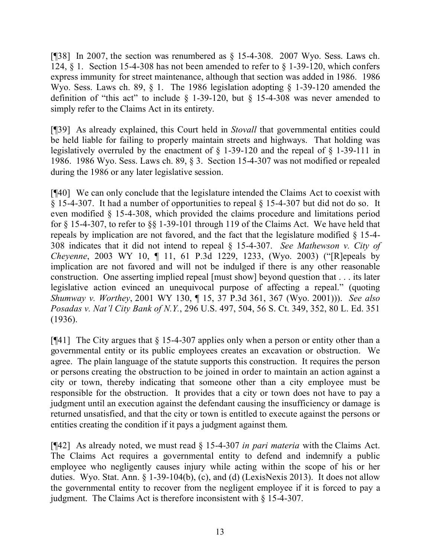[ $[$ ]38] In 2007, the section was renumbered as  $\S$  15-4-308. 2007 Wyo. Sess. Laws ch. 124, § 1. Section 15-4-308 has not been amended to refer to § 1-39-120, which confers express immunity for street maintenance, although that section was added in 1986. 1986 Wyo. Sess. Laws ch. 89, § 1. The 1986 legislation adopting § 1-39-120 amended the definition of "this act" to include  $\S$  1-39-120, but  $\S$  15-4-308 was never amended to simply refer to the Claims Act in its entirety.

[¶39] As already explained, this Court held in *Stovall* that governmental entities could be held liable for failing to properly maintain streets and highways. That holding was legislatively overruled by the enactment of § 1-39-120 and the repeal of § 1-39-111 in 1986. 1986 Wyo. Sess. Laws ch. 89, § 3. Section 15-4-307 was not modified or repealed during the 1986 or any later legislative session.

[¶40] We can only conclude that the legislature intended the Claims Act to coexist with § 15-4-307. It had a number of opportunities to repeal § 15-4-307 but did not do so. It even modified § 15-4-308, which provided the claims procedure and limitations period for § 15-4-307, to refer to §§ 1-39-101 through 119 of the Claims Act. We have held that repeals by implication are not favored, and the fact that the legislature modified § 15-4- 308 indicates that it did not intend to repeal § 15-4-307. *See Mathewson v. City of Cheyenne*, 2003 WY 10, ¶ 11, 61 P.3d 1229, 1233, (Wyo. 2003) ("[R]epeals by implication are not favored and will not be indulged if there is any other reasonable construction. One asserting implied repeal [must show] beyond question that . . . its later legislative action evinced an unequivocal purpose of affecting a repeal." (quoting *Shumway v. Worthey*, 2001 WY 130, ¶ 15, 37 P.3d 361, 367 (Wyo. 2001))). *See also Posadas v. Nat'l City Bank of N.Y.*, 296 U.S. 497, 504, 56 S. Ct. 349, 352, 80 L. Ed. 351 (1936).

[¶41] The City argues that § 15-4-307 applies only when a person or entity other than a governmental entity or its public employees creates an excavation or obstruction. We agree. The plain language of the statute supports this construction. It requires the person or persons creating the obstruction to be joined in order to maintain an action against a city or town, thereby indicating that someone other than a city employee must be responsible for the obstruction. It provides that a city or town does not have to pay a judgment until an execution against the defendant causing the insufficiency or damage is returned unsatisfied, and that the city or town is entitled to execute against the persons or entities creating the condition if it pays a judgment against them.

[¶42] As already noted, we must read § 15-4-307 *in pari materia* with the Claims Act. The Claims Act requires a governmental entity to defend and indemnify a public employee who negligently causes injury while acting within the scope of his or her duties. Wyo. Stat. Ann. § 1-39-104(b), (c), and (d) (LexisNexis 2013). It does not allow the governmental entity to recover from the negligent employee if it is forced to pay a judgment. The Claims Act is therefore inconsistent with § 15-4-307.